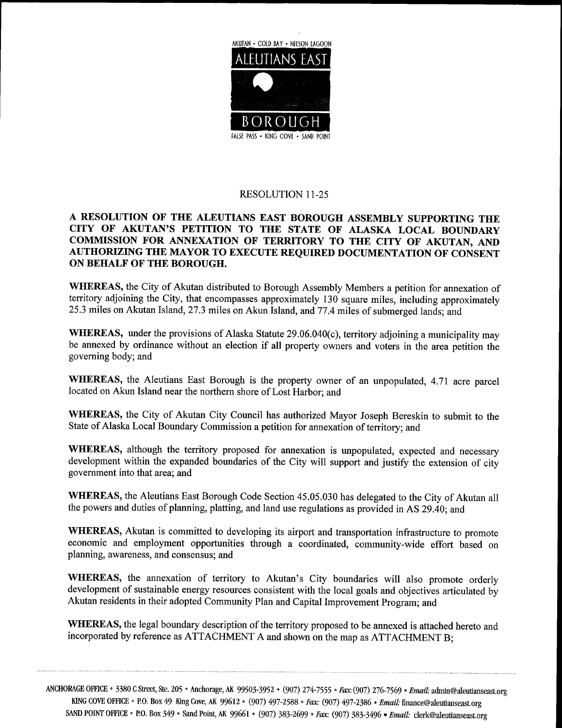

## RESOLUTION 11-25

## A RESOLUTION OF THE ALEUTIANS EAST BOROUGH ASSEMBLY SUPPORTING THE CITY OF AKUTAN'S PETITION TO THE STATE OF ALASKA LOCAL BOUNDARY COMMISSION FOR ANNEXATION OF TERRITORY TO THE CITY OF AKUTAN, AND AUTHORIZING THE MAYOR TO EXECUTE REQUIRED DOCUMENTATION OF CONSENT ON BEHALF OF THE BOROUGH

WHEREAS, the City of Akutan distributed to Borough Assembly Members a petition for annexation of territory adjoining the City, that encompasses approximately 130 square miles, including approximately WHEREAS, the City of Akutan distributed to Borough Assembly Members a petition for anne<br>territory adjoining the City, that encompasses approximately 130 square miles, including appro<br>25.3 miles on Akutan Island, 27.3 miles

AUTHORIZING THE MAYOR TO EXECUTE REQUIRED DOCUMENTATION OF CONSENT<br>ON BEHALF OF THE BOROUGH.<br>WHEREAS, the City of Akutan distributed to Borough Assembly Members a petition for annexation of<br>territory adjoining the City, th WHEREAS, under the provisions of Alaska Statute 29.06.040(c), territory adjoining a municipality may<br>be annexed by ordinance without an election if all property owners and voters in the area petition the governing body; and

WHEREAS, the Aleutians East Borough is the property owner of an unpopulated, 4.71 acre parcel located on Akun Island near the northern shore of Lost Harbor; and

WHEREAS, the City of Akutan City Council has authorized Mayor Joseph Bereskin to submit to the State of Alaska Local Boundary Commission a petition for annexation of territory; and

WHEREAS, although the territory proposed for annexation is unpopulated, expected and necessary development within the expanded boundaries of the City will support and justify the extension of city government into that area; and

WHEREAS, the Aleutians East Borough Code Section 45.05.030 has delegated to the City of Akutan all the powers and duties of planning, platting, and land use regulations as provided in AS 29.40; and

WHEREAS, Akutan is committed to developing its airport and transportation infrastructure to promote economic and employment opportunities through a coordinated, community-wide effort based on planning. awareness, and conse planning, awareness, and consensus; and WHEREAS, Akutan is committed to developing its airpo<br>economic and employment opportunities through a co-<br>planning, awareness, and consensus; and<br>WHEREAS, the annexation of territory to Akutan's<br>development of sustainable e

City boundaries will also promote orderly development of sustainable energy resources consistent with the local goals and objectives articulated by Akutan residents in their adopted Community Plan and Capital Improvement Program: and

WHEREAS, the legal boundary description of the territory proposed to be annexed is attached hereto and incorporated by reference as ATTACHMENT A and shown on the map as ATTACHMENT B;

ANCHORAGE OFFICE \* 3380 C Street, Ste. 205 \* Anchorage, AK 99503-3952 \* (907) 274-7555 \* Fax: (907) 276-7569 \* Email AGE OFFICE \* 3380 C Street, See. 205 \* Anchorage, AK 99503-3952 \* (907) 274-7555 \* *Fax*: (907) 276-7569<br>KING COVE OFFICE \* P.O. Box 49 King Cove, AK 99612 \* (907) 497-2588 \* *Fax:* (907) 497-2386 \* *Email*: admin@aleutianseast org SAND POINT OFFICE \* P.O. Box 349 \* Sand Point, AK 99661 \* (907) 383-2699 \* Fax: (907) 383-3496 · Email: clerk@aleutianseast.org \* *Email:* admin@aleutianseast.org<br>finance@aleutianseast.org<br>*iil:* clerk@aleutianseast.org te. 205 • Anchorage, AK 99503-3952 • (907) 274-7555 *• Fax*: (907) 276-7569 *• Email*: admin@aleutianse<br>49 King Cove, AK 99612 • (907) 497-2588 *• Fax:* (907) 497-2386 *• Email:* finance@aleutianseast.org<br>349 • Sand Point,